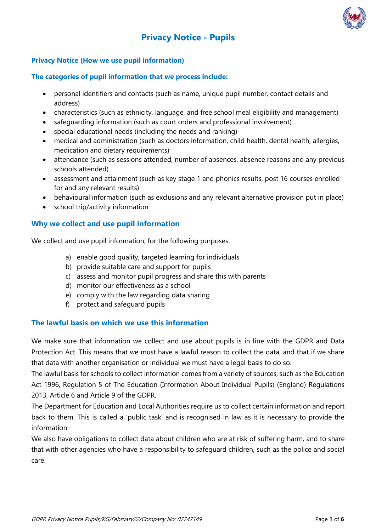# **Privacy Notice - Pupils**



#### **Privacy Notice (How we use pupil information)**

#### **The categories of pupil information that we process include:**

- personal identifiers and contacts (such as name, unique pupil number, contact details and address)
- characteristics (such as ethnicity, language, and free school meal eligibility and management)
- safeguarding information (such as court orders and professional involvement)
- special educational needs (including the needs and ranking)
- medical and administration (such as doctors information, child health, dental health, allergies, medication and dietary requirements)
- attendance (such as sessions attended, number of absences, absence reasons and any previous schools attended)
- assessment and attainment (such as key stage 1 and phonics results, post 16 courses enrolled for and any relevant results)
- behavioural information (such as exclusions and any relevant alternative provision put in place)
- school trip/activity information

#### **Why we collect and use pupil information**

We collect and use pupil information, for the following purposes:

- a) enable good quality, targeted learning for individuals
- b) provide suitable care and support for pupils
- c) assess and monitor pupil progress and share this with parents
- d) monitor our effectiveness as a school
- e) comply with the law regarding data sharing
- f) protect and safeguard pupils

#### **The lawful basis on which we use this information**

We make sure that information we collect and use about pupils is in line with the GDPR and Data Protection Act. This means that we must have a lawful reason to collect the data, and that if we share that data with another organisation or individual we must have a legal basis to do so.

The lawful basis for schools to collect information comes from a variety of sources, such as the Education Act 1996, Regulation 5 of The Education (Information About Individual Pupils) (England) Regulations 2013, Article 6 and Article 9 of the GDPR.

The Department for Education and Local Authorities require us to collect certain information and report back to them. This is called a 'public task' and is recognised in law as it is necessary to provide the information.

We also have obligations to collect data about children who are at risk of suffering harm, and to share that with other agencies who have a responsibility to safeguard children, such as the police and social care.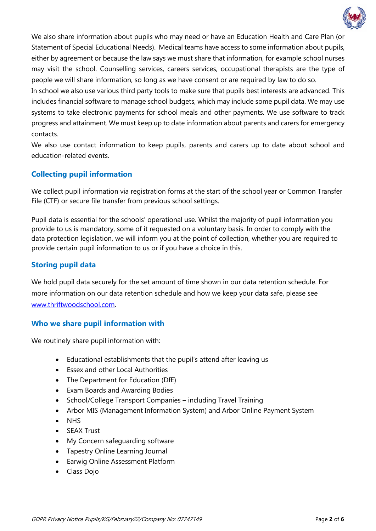

We also share information about pupils who may need or have an Education Health and Care Plan (or Statement of Special Educational Needs). Medical teams have access to some information about pupils, either by agreement or because the law says we must share that information, for example school nurses may visit the school. Counselling services, careers services, occupational therapists are the type of people we will share information, so long as we have consent or are required by law to do so.

In school we also use various third party tools to make sure that pupils best interests are advanced. This includes financial software to manage school budgets, which may include some pupil data. We may use systems to take electronic payments for school meals and other payments. We use software to track progress and attainment. We must keep up to date information about parents and carers for emergency contacts.

We also use contact information to keep pupils, parents and carers up to date about school and education-related events.

# **Collecting pupil information**

We collect pupil information via registration forms at the start of the school year or Common Transfer File (CTF) or secure file transfer from previous school settings.

Pupil data is essential for the schools' operational use. Whilst the majority of pupil information you provide to us is mandatory, some of it requested on a voluntary basis. In order to comply with the data protection legislation, we will inform you at the point of collection, whether you are required to provide certain pupil information to us or if you have a choice in this.

# **Storing pupil data**

We hold pupil data securely for the set amount of time shown in our data retention schedule. For more information on our data retention schedule and how we keep your data safe, please see [www.thriftwoodschool.com.](http://www.thriftwoodschool.com/)

# **Who we share pupil information with**

We routinely share pupil information with:

- Educational establishments that the pupil's attend after leaving us
- Essex and other Local Authorities
- The Department for Education (DfE)
- Exam Boards and Awarding Bodies
- School/College Transport Companies including Travel Training
- Arbor MIS (Management Information System) and Arbor Online Payment System
- NHS
- SEAX Trust
- My Concern safeguarding software
- Tapestry Online Learning Journal
- Earwig Online Assessment Platform
- Class Dojo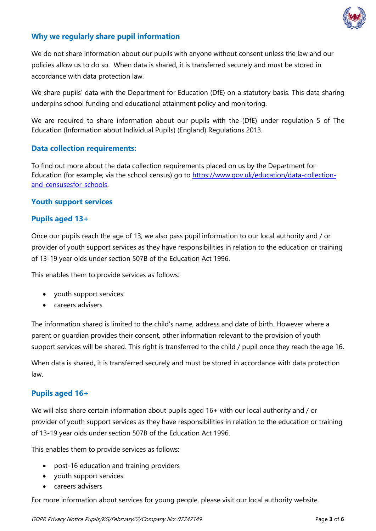

### **Why we regularly share pupil information**

We do not share information about our pupils with anyone without consent unless the law and our policies allow us to do so. When data is shared, it is transferred securely and must be stored in accordance with data protection law.

We share pupils' data with the Department for Education (DfE) on a statutory basis. This data sharing underpins school funding and educational attainment policy and monitoring.

We are required to share information about our pupils with the (DfE) under regulation 5 of The Education (Information about Individual Pupils) (England) Regulations 2013.

#### **Data collection requirements:**

To find out more about the data collection requirements placed on us by the Department for Education (for example; via the school census) go to [https://www.gov.uk/education/data-collection](https://www.gov.uk/education/data-collection-and-censusesfor-schools)[and-censusesfor-schools.](https://www.gov.uk/education/data-collection-and-censusesfor-schools)

#### **Youth support services**

#### **Pupils aged 13+**

Once our pupils reach the age of 13, we also pass pupil information to our local authority and / or provider of youth support services as they have responsibilities in relation to the education or training of 13-19 year olds under section 507B of the Education Act 1996.

This enables them to provide services as follows:

- youth support services
- careers advisers

The information shared is limited to the child's name, address and date of birth. However where a parent or guardian provides their consent, other information relevant to the provision of youth support services will be shared. This right is transferred to the child / pupil once they reach the age 16.

When data is shared, it is transferred securely and must be stored in accordance with data protection law.

#### **Pupils aged 16+**

We will also share certain information about pupils aged 16+ with our local authority and / or provider of youth support services as they have responsibilities in relation to the education or training of 13-19 year olds under section 507B of the Education Act 1996.

This enables them to provide services as follows:

- post-16 education and training providers
- youth support services
- careers advisers

For more information about services for young people, please visit our local authority website.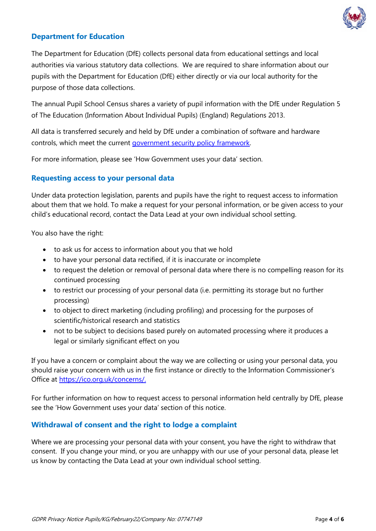

### **Department for Education**

The Department for Education (DfE) collects personal data from educational settings and local authorities via various statutory data collections. We are required to share information about our pupils with the Department for Education (DfE) either directly or via our local authority for the purpose of those data collections.

The annual Pupil School Census shares a variety of pupil information with the DfE under Regulation 5 of The Education (Information About Individual Pupils) (England) Regulations 2013.

All data is transferred securely and held by DfE under a combination of software and hardware controls, which meet the current government security policy framework.

For more information, please see 'How Government uses your data' section.

#### **Requesting access to your personal data**

Under data protection legislation, parents and pupils have the right to request access to information about them that we hold. To make a request for your personal information, or be given access to your child's educational record, contact the Data Lead at your own individual school setting.

You also have the right:

- to ask us for access to information about you that we hold
- to have your personal data rectified, if it is inaccurate or incomplete
- to request the deletion or removal of personal data where there is no compelling reason for its continued processing
- to restrict our processing of your personal data (i.e. permitting its storage but no further processing)
- to object to direct marketing (including profiling) and processing for the purposes of scientific/historical research and statistics
- not to be subject to decisions based purely on automated processing where it produces a legal or similarly significant effect on you

If you have a concern or complaint about the way we are collecting or using your personal data, you should raise your concern with us in the first instance or directly to the Information Commissioner's Office at [https://ico.org.uk/concerns/.](https://ico.org.uk/concerns/)

For further information on how to request access to personal information held centrally by DfE, please see the 'How Government uses your data' section of this notice.

#### **Withdrawal of consent and the right to lodge a complaint**

Where we are processing your personal data with your consent, you have the right to withdraw that consent. If you change your mind, or you are unhappy with our use of your personal data, please let us know by contacting the Data Lead at your own individual school setting.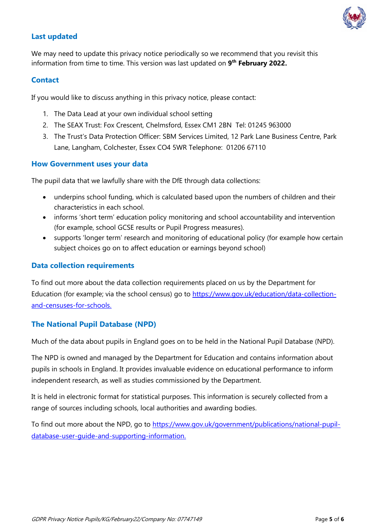

### **Last updated**

We may need to update this privacy notice periodically so we recommend that you revisit this information from time to time. This version was last updated on **9 th February 2022.**

#### **Contact**

If you would like to discuss anything in this privacy notice, please contact:

- 1. The Data Lead at your own individual school setting
- 2. The SEAX Trust: Fox Crescent, Chelmsford, Essex CM1 2BN Tel: 01245 963000
- 3. The Trust's Data Protection Officer: SBM Services Limited, 12 Park Lane Business Centre, Park Lane, Langham, Colchester, Essex CO4 5WR Telephone: 01206 67110

#### **How Government uses your data**

The pupil data that we lawfully share with the DfE through data collections:

- underpins school funding, which is calculated based upon the numbers of children and their characteristics in each school.
- informs 'short term' education policy monitoring and school accountability and intervention (for example, school GCSE results or Pupil Progress measures).
- supports 'longer term' research and monitoring of educational policy (for example how certain subject choices go on to affect education or earnings beyond school)

#### **Data collection requirements**

To find out more about the data collection requirements placed on us by the Department for Education (for example; via the school census) go to [https://www.gov.uk/education/data-collection](https://www.gov.uk/education/data-collection-and-censuses-for-schools)[and-censuses-for-schools.](https://www.gov.uk/education/data-collection-and-censuses-for-schools)

#### **The National Pupil Database (NPD)**

Much of the data about pupils in England goes on to be held in the National Pupil Database (NPD).

The NPD is owned and managed by the Department for Education and contains information about pupils in schools in England. It provides invaluable evidence on educational performance to inform independent research, as well as studies commissioned by the Department.

It is held in electronic format for statistical purposes. This information is securely collected from a range of sources including schools, local authorities and awarding bodies.

To find out more about the NPD, go to [https://www.gov.uk/government/publications/national-pupil](https://www.gov.uk/government/publications/national-pupil-database-user-guide-and-supporting-information)[database-user-guide-and-supporting-information.](https://www.gov.uk/government/publications/national-pupil-database-user-guide-and-supporting-information)